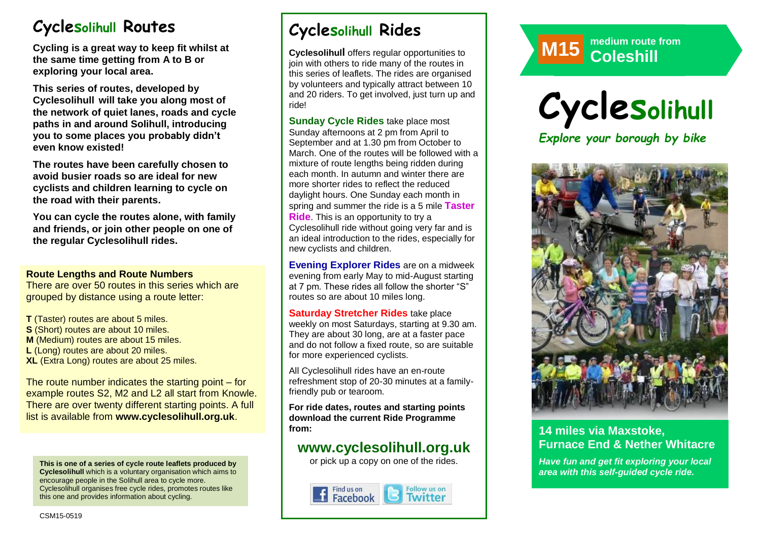# **Cyclesolihull Routes**

**Cycling is a great way to keep fit whilst at the same time getting from A to B or exploring your local area.** 

**This series of routes, developed by Cyclesolihull will take you along most of the network of quiet lanes, roads and cycle paths in and around Solihull, introducing you to some places you probably didn't even know existed!**

**The routes have been carefully chosen to avoid busier roads so are ideal for new cyclists and children learning to cycle on the road with their parents.** 

**You can cycle the routes alone, with family and friends, or join other people on one of the regular Cyclesolihull rides.**

#### **Route Lengths and Route Numbers**

There are over 50 routes in this series which are grouped by distance using a route letter:

**T** (Taster) routes are about 5 miles. **S** (Short) routes are about 10 miles. **M** (Medium) routes are about 15 miles. **L** (Long) routes are about 20 miles. **XL** (Extra Long) routes are about 25 miles.

The route number indicates the starting point – for example routes S2, M2 and L2 all start from Knowle. There are over twenty different starting points. A full list is available from **www.cyclesolihull.org.uk**.

**This is one of a series of cycle route leaflets produced by Cyclesolihull** which is a voluntary organisation which aims to encourage people in the Solihull area to cycle more. Cyclesolihull organises free cycle rides, promotes routes like this one and provides information about cycling.

# **Cyclesolihull Rides**

**Cyclesolihull** offers regular opportunities to join with others to ride many of the routes in this series of leaflets. The rides are organised by volunteers and typically attract between 10 and 20 riders. To get involved, just turn up and ride!

**Sunday Cycle Rides** take place most Sunday afternoons at 2 pm from April to September and at 1.30 pm from October to March. One of the routes will be followed with a mixture of route lengths being ridden during each month. In autumn and winter there are more shorter rides to reflect the reduced daylight hours. One Sunday each month in spring and summer the ride is a 5 mile **Taster Ride**. This is an opportunity to try a Cyclesolihull ride without going very far and is an ideal introduction to the rides, especially for new cyclists and children.

**Evening Explorer Rides** are on a midweek evening from early May to mid-August starting at 7 pm. These rides all follow the shorter "S" routes so are about 10 miles long.

**Saturday Stretcher Rides** take place weekly on most Saturdays, starting at 9.30 am. They are about 30 long, are at a faster pace and do not follow a fixed route, so are suitable for more experienced cyclists.

All Cyclesolihull rides have an en-route refreshment stop of 20-30 minutes at a familyfriendly pub or tearoom.

**For ride dates, routes and starting points download the current Ride Programme from:** 

## **www.cyclesolihull.org.uk**

or pick up a copy on one of the rides.









## **14 miles via Maxstoke, Furnace End & Nether Whitacre**

*Have fun and get fit exploring your local area with this self-guided cycle ride.*